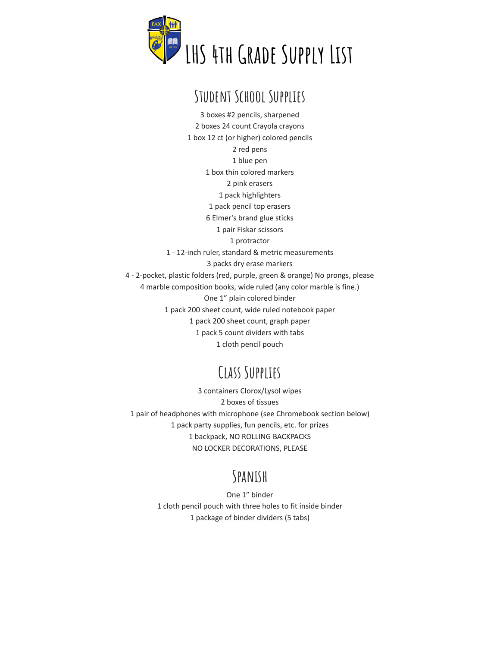

## **Student School Supplies**

 boxes #2 pencils, sharpened boxes 24 count Crayola crayons box 12 ct (or higher) colored pencils red pens blue pen box thin colored markers pink erasers pack highlighters pack pencil top erasers Elmer's brand glue sticks pair Fiskar scissors protractor - 12-inch ruler, standard & metric measurements packs dry erase markers - 2-pocket, plastic folders (red, purple, green & orange) No prongs, please marble composition books, wide ruled (any color marble is fine.) One 1" plain colored binder pack 200 sheet count, wide ruled notebook paper pack 200 sheet count, graph paper pack 5 count dividers with tabs cloth pencil pouch

## **Class Supplies**

 containers Clorox/Lysol wipes boxes of tissues pair of headphones with microphone (see Chromebook section below) pack party supplies, fun pencils, etc. for prizes backpack, NO ROLLING BACKPACKS NO LOCKER DECORATIONS, PLEASE

## **Spanish**

One 1" binder cloth pencil pouch with three holes to fit inside binder package of binder dividers (5 tabs)